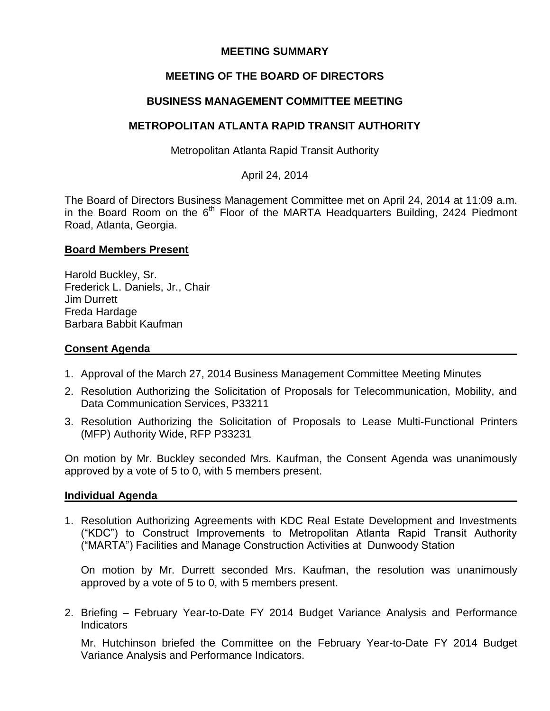# **MEETING SUMMARY**

# **MEETING OF THE BOARD OF DIRECTORS**

### **BUSINESS MANAGEMENT COMMITTEE MEETING**

### **METROPOLITAN ATLANTA RAPID TRANSIT AUTHORITY**

Metropolitan Atlanta Rapid Transit Authority

April 24, 2014

The Board of Directors Business Management Committee met on April 24, 2014 at 11:09 a.m. in the Board Room on the  $6<sup>th</sup>$  Floor of the MARTA Headquarters Building, 2424 Piedmont Road, Atlanta, Georgia.

### **Board Members Present**

Harold Buckley, Sr. Frederick L. Daniels, Jr., Chair Jim Durrett Freda Hardage Barbara Babbit Kaufman

### **Consent Agenda**

- 1. Approval of the March 27, 2014 Business Management Committee Meeting Minutes
- 2. Resolution Authorizing the Solicitation of Proposals for Telecommunication, Mobility, and Data Communication Services, P33211
- 3. Resolution Authorizing the Solicitation of Proposals to Lease Multi-Functional Printers (MFP) Authority Wide, RFP P33231

On motion by Mr. Buckley seconded Mrs. Kaufman, the Consent Agenda was unanimously approved by a vote of 5 to 0, with 5 members present.

### **Individual Agenda**

1. Resolution Authorizing Agreements with KDC Real Estate Development and Investments ("KDC") to Construct Improvements to Metropolitan Atlanta Rapid Transit Authority ("MARTA") Facilities and Manage Construction Activities at Dunwoody Station

On motion by Mr. Durrett seconded Mrs. Kaufman, the resolution was unanimously approved by a vote of 5 to 0, with 5 members present.

2. Briefing – February Year-to-Date FY 2014 Budget Variance Analysis and Performance Indicators

Mr. Hutchinson briefed the Committee on the February Year-to-Date FY 2014 Budget Variance Analysis and Performance Indicators.